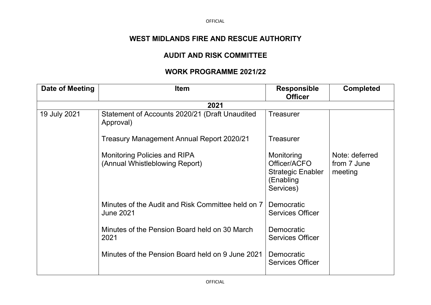## **WEST MIDLANDS FIRE AND RESCUE AUTHORITY**

## **AUDIT AND RISK COMMITTEE**

## **WORK PROGRAMME 2021/22**

| Date of Meeting | <b>Item</b>                                                           | <b>Responsible</b><br><b>Officer</b>                                             | <b>Completed</b>                         |
|-----------------|-----------------------------------------------------------------------|----------------------------------------------------------------------------------|------------------------------------------|
|                 | 2021                                                                  |                                                                                  |                                          |
| 19 July 2021    | Statement of Accounts 2020/21 (Draft Unaudited<br>Approval)           | Treasurer                                                                        |                                          |
|                 | Treasury Management Annual Report 2020/21                             | <b>Treasurer</b>                                                                 |                                          |
|                 | <b>Monitoring Policies and RIPA</b><br>(Annual Whistleblowing Report) | Monitoring<br>Officer/ACFO<br><b>Strategic Enabler</b><br>(Enabling<br>Services) | Note: deferred<br>from 7 June<br>meeting |
|                 | Minutes of the Audit and Risk Committee held on 7<br><b>June 2021</b> | Democratic<br><b>Services Officer</b>                                            |                                          |
|                 | Minutes of the Pension Board held on 30 March<br>2021                 | Democratic<br><b>Services Officer</b>                                            |                                          |
|                 | Minutes of the Pension Board held on 9 June 2021                      | Democratic<br><b>Services Officer</b>                                            |                                          |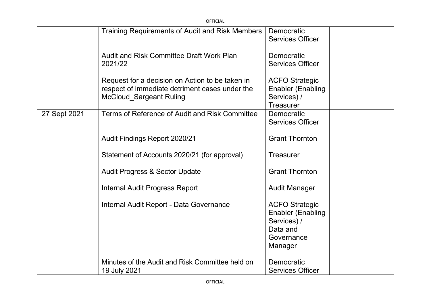|              | <b>OFFICIAL</b>                                                                                                                     |                                                                                                       |  |
|--------------|-------------------------------------------------------------------------------------------------------------------------------------|-------------------------------------------------------------------------------------------------------|--|
|              | Training Requirements of Audit and Risk Members                                                                                     | Democratic<br><b>Services Officer</b>                                                                 |  |
|              | <b>Audit and Risk Committee Draft Work Plan</b><br>2021/22                                                                          | Democratic<br><b>Services Officer</b>                                                                 |  |
|              | Request for a decision on Action to be taken in<br>respect of immediate detriment cases under the<br><b>McCloud Sargeant Ruling</b> | <b>ACFO Strategic</b><br><b>Enabler (Enabling</b><br>Services) /<br><b>Treasurer</b>                  |  |
| 27 Sept 2021 | Terms of Reference of Audit and Risk Committee                                                                                      | Democratic<br><b>Services Officer</b>                                                                 |  |
|              | Audit Findings Report 2020/21                                                                                                       | <b>Grant Thornton</b>                                                                                 |  |
|              | Statement of Accounts 2020/21 (for approval)                                                                                        | <b>Treasurer</b>                                                                                      |  |
|              | <b>Audit Progress &amp; Sector Update</b>                                                                                           | <b>Grant Thornton</b>                                                                                 |  |
|              | <b>Internal Audit Progress Report</b>                                                                                               | <b>Audit Manager</b>                                                                                  |  |
|              | Internal Audit Report - Data Governance                                                                                             | <b>ACFO Strategic</b><br><b>Enabler (Enabling</b><br>Services) /<br>Data and<br>Governance<br>Manager |  |
|              | Minutes of the Audit and Risk Committee held on<br>19 July 2021                                                                     | Democratic<br><b>Services Officer</b>                                                                 |  |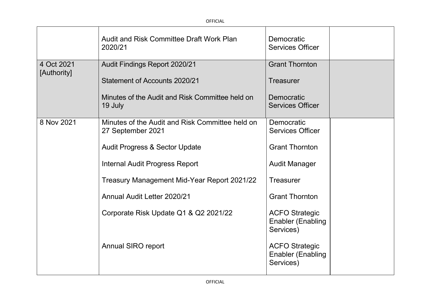|             | <b>Audit and Risk Committee Draft Work Plan</b><br>2020/21           | Democratic<br><b>Services Officer</b>                          |  |
|-------------|----------------------------------------------------------------------|----------------------------------------------------------------|--|
| 4 Oct 2021  | Audit Findings Report 2020/21                                        | <b>Grant Thornton</b>                                          |  |
| [Authority] | Statement of Accounts 2020/21                                        | <b>Treasurer</b>                                               |  |
|             | Minutes of the Audit and Risk Committee held on<br>19 July           | Democratic<br><b>Services Officer</b>                          |  |
| 8 Nov 2021  | Minutes of the Audit and Risk Committee held on<br>27 September 2021 | Democratic<br><b>Services Officer</b>                          |  |
|             | <b>Audit Progress &amp; Sector Update</b>                            | <b>Grant Thornton</b>                                          |  |
|             | <b>Internal Audit Progress Report</b>                                | <b>Audit Manager</b>                                           |  |
|             | Treasury Management Mid-Year Report 2021/22                          | <b>Treasurer</b>                                               |  |
|             | Annual Audit Letter 2020/21                                          | <b>Grant Thornton</b>                                          |  |
|             | Corporate Risk Update Q1 & Q2 2021/22                                | <b>ACFO Strategic</b><br><b>Enabler (Enabling</b><br>Services) |  |
|             | <b>Annual SIRO report</b>                                            | <b>ACFO Strategic</b><br><b>Enabler (Enabling</b><br>Services) |  |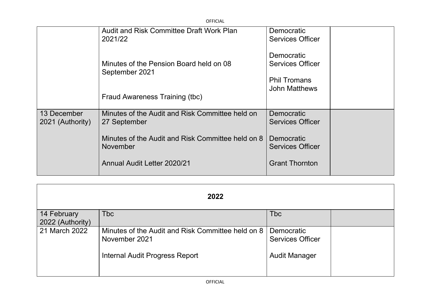| <b>OFFICIAL</b>                 |                                                                      |                                             |
|---------------------------------|----------------------------------------------------------------------|---------------------------------------------|
|                                 | <b>Audit and Risk Committee Draft Work Plan</b><br>2021/22           | Democratic<br>Services Officer              |
|                                 | Minutes of the Pension Board held on 08<br>September 2021            | Democratic<br><b>Services Officer</b>       |
|                                 | Fraud Awareness Training (tbc)                                       | <b>Phil Tromans</b><br><b>John Matthews</b> |
| 13 December<br>2021 (Authority) | Minutes of the Audit and Risk Committee held on<br>27 September      | Democratic<br><b>Services Officer</b>       |
|                                 | Minutes of the Audit and Risk Committee held on 8<br><b>November</b> | Democratic<br><b>Services Officer</b>       |
|                                 | <b>Annual Audit Letter 2020/21</b>                                   | <b>Grant Thornton</b>                       |

| 2022             |                                                                    |                                       |  |  |
|------------------|--------------------------------------------------------------------|---------------------------------------|--|--|
| 14 February      | <b>Tbc</b>                                                         | <b>Tbc</b>                            |  |  |
| 2022 (Authority) |                                                                    |                                       |  |  |
| 21 March 2022    | Minutes of the Audit and Risk Committee held on 8<br>November 2021 | Democratic<br><b>Services Officer</b> |  |  |
|                  | Internal Audit Progress Report                                     | <b>Audit Manager</b>                  |  |  |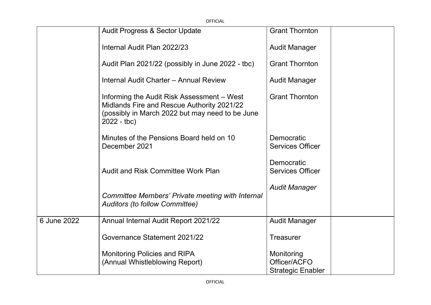| OFFICIAL    |                                                                                                                                                             |                                                        |
|-------------|-------------------------------------------------------------------------------------------------------------------------------------------------------------|--------------------------------------------------------|
|             | <b>Audit Progress &amp; Sector Update</b>                                                                                                                   | <b>Grant Thornton</b>                                  |
|             | Internal Audit Plan 2022/23                                                                                                                                 | <b>Audit Manager</b>                                   |
|             | Audit Plan 2021/22 (possibly in June 2022 - tbc)                                                                                                            | <b>Grant Thornton</b>                                  |
|             | Internal Audit Charter - Annual Review                                                                                                                      | <b>Audit Manager</b>                                   |
|             | Informing the Audit Risk Assessment – West<br>Midlands Fire and Rescue Authority 2021/22<br>(possibly in March 2022 but may need to be June<br>$2022 - tbc$ | <b>Grant Thornton</b>                                  |
|             | Minutes of the Pensions Board held on 10<br>December 2021                                                                                                   | Democratic<br><b>Services Officer</b>                  |
|             | <b>Audit and Risk Committee Work Plan</b>                                                                                                                   | Democratic<br><b>Services Officer</b>                  |
|             | Committee Members' Private meeting with Internal<br><b>Auditors (to follow Committee)</b>                                                                   | <b>Audit Manager</b>                                   |
| 6 June 2022 | Annual Internal Audit Report 2021/22                                                                                                                        | <b>Audit Manager</b>                                   |
|             | Governance Statement 2021/22                                                                                                                                | <b>Treasurer</b>                                       |
|             | <b>Monitoring Policies and RIPA</b><br>(Annual Whistleblowing Report)                                                                                       | Monitoring<br>Officer/ACFO<br><b>Strategic Enabler</b> |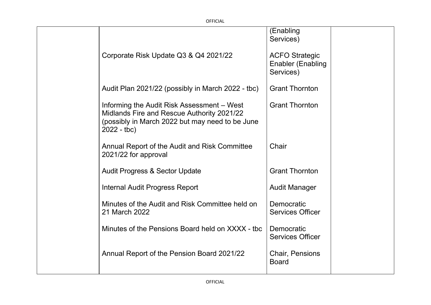|                                                                                                                                                             | (Enabling<br>Services)                                         |  |
|-------------------------------------------------------------------------------------------------------------------------------------------------------------|----------------------------------------------------------------|--|
| Corporate Risk Update Q3 & Q4 2021/22                                                                                                                       | <b>ACFO Strategic</b><br><b>Enabler (Enabling</b><br>Services) |  |
| Audit Plan 2021/22 (possibly in March 2022 - tbc)                                                                                                           | <b>Grant Thornton</b>                                          |  |
| Informing the Audit Risk Assessment - West<br>Midlands Fire and Rescue Authority 2021/22<br>(possibly in March 2022 but may need to be June<br>$2022 - tbc$ | <b>Grant Thornton</b>                                          |  |
| Annual Report of the Audit and Risk Committee<br>2021/22 for approval                                                                                       | Chair                                                          |  |
| <b>Audit Progress &amp; Sector Update</b>                                                                                                                   | <b>Grant Thornton</b>                                          |  |
| <b>Internal Audit Progress Report</b>                                                                                                                       | <b>Audit Manager</b>                                           |  |
| Minutes of the Audit and Risk Committee held on<br>21 March 2022                                                                                            | Democratic<br><b>Services Officer</b>                          |  |
| Minutes of the Pensions Board held on XXXX - tbc                                                                                                            | Democratic<br><b>Services Officer</b>                          |  |
| Annual Report of the Pension Board 2021/22                                                                                                                  | <b>Chair, Pensions</b><br><b>Board</b>                         |  |
|                                                                                                                                                             |                                                                |  |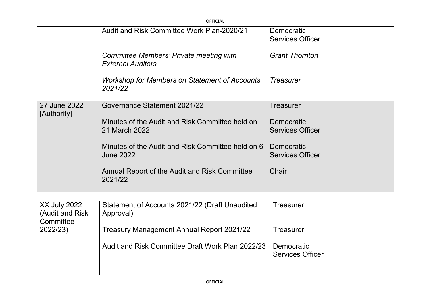|                             | <b>OFFICIAL</b>                                                       |                                       |  |
|-----------------------------|-----------------------------------------------------------------------|---------------------------------------|--|
|                             | Audit and Risk Committee Work Plan-2020/21                            | Democratic<br><b>Services Officer</b> |  |
|                             | Committee Members' Private meeting with<br><b>External Auditors</b>   | <b>Grant Thornton</b>                 |  |
|                             | <b>Workshop for Members on Statement of Accounts</b><br>2021/22       | <b>Treasurer</b>                      |  |
| 27 June 2022<br>[Authority] | Governance Statement 2021/22                                          | Treasurer                             |  |
|                             | Minutes of the Audit and Risk Committee held on<br>21 March 2022      | Democratic<br><b>Services Officer</b> |  |
|                             | Minutes of the Audit and Risk Committee held on 6<br><b>June 2022</b> | Democratic<br><b>Services Officer</b> |  |
|                             | Annual Report of the Audit and Risk Committee<br>2021/22              | Chair                                 |  |

| <b>XX July 2022</b><br>(Audit and Risk) | Statement of Accounts 2021/22 (Draft Unaudited<br>Approval) | Treasurer                             |
|-----------------------------------------|-------------------------------------------------------------|---------------------------------------|
| Committee<br>2022/23)                   | Treasury Management Annual Report 2021/22                   | Treasurer                             |
|                                         | Audit and Risk Committee Draft Work Plan 2022/23            | Democratic<br><b>Services Officer</b> |
|                                         |                                                             |                                       |